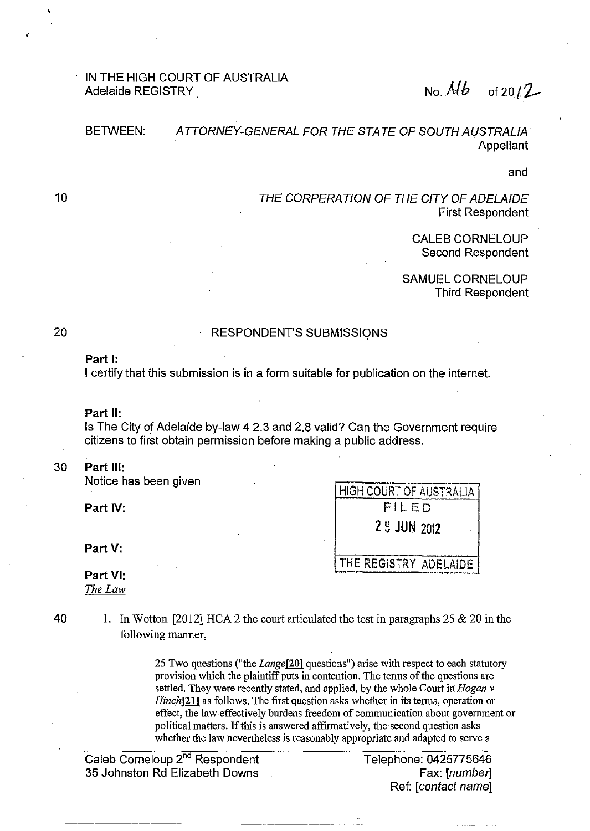# IN THE HIGH COURT OF AUSTRALIA Adelaide REGISTRY  $\sim$  . Also in the set of the set of 2012

#### BETWEEN: ATTORNEY-GENERAL FOR THE STATE OF SOUTH AUSTRALIA **Appellant**

and

THE CORPERATION OF THE CITY OF ADELAIDE First Respondent

HIGH COURT OF AUSTRALIA

2 9 JUN 2012

THE REGISTRY ADELAIDE

CALEB CORNELOUP Second Respondent

SAMUEL CORNELOUP Third Respondent

# 20

10

>

### RESPONDENT'S SUBMISSIQNS

## **Part 1:**

I certify that this submission is in a form suitable for publication on the internet.

#### **Part II:**

Is The City of Adelaide by-law 4 2.3 and 2.8 valid? Can the Government require citizens to first obtain permission before making a public address.

## 30 **Part Ill:**

Notice has been given

**Part** IV: FILED

**Part V:** 

## **Part VI:**  *The Law*

40 1. In Wotton [2012] HCA 2 the court articulated the test in paragraphs 25  $\&$  20 in the following manner,

> 25 Two questions ("the *Langel20)* questions") arise with respect to each statutory provision which the plaintiff puts in contention. The terms of the questions are settled. They were recently stated, and applied, by the whole Court in *Hogan v Hinchl21)* as follows. The first question asks whether in its terms, operation or effect, the law effectively burdens freedom of communication about government or political matters. If this is answered affirmatively, the second question asks · whether the law nevertheless is reasonably appropriate and adapted to serve a

Caleb Corneloup 2"d Respondent 35 Johnston Rd Elizabeth Downs

Telephone: 0425775646 Fax: [number] Ref: [contact name]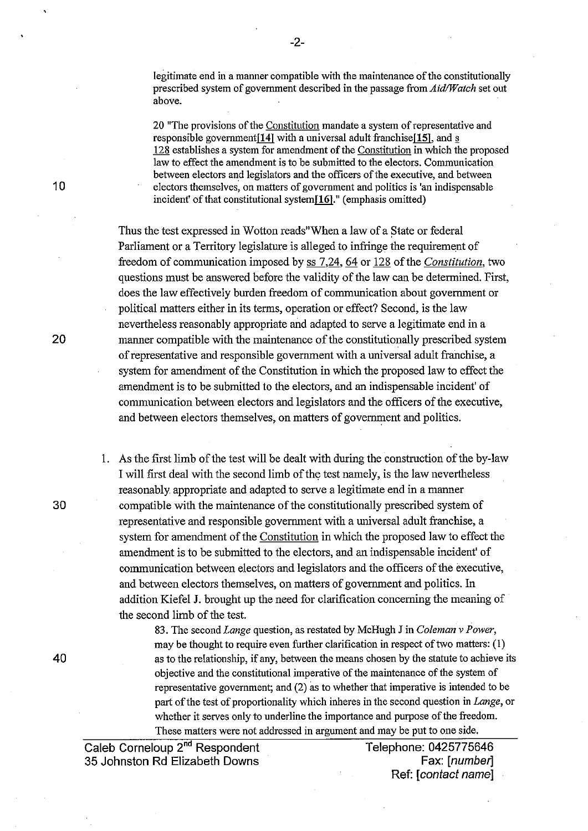legitimate end in a manner compatible with the maintenance of the constitutionally prescribed system of government described in the passage from *Aid/Watch* set out above.

20 "The provisions of the Constitution mandate a system of representative and responsible government $[14]$  with a universal adult franchise $[15]$ , and  $s$ 128 establishes a system for amendment of the Constitution in which the proposed law to effect the amendment is to be submitted to the electors. Communication between electors and legislators and the officers of the executive, and between electors themselves, on matters of government and politics is 'an indispensable incident' of that constitutional system[16]." (emphasis omitted)

Thus the test expressed in Wotton reads"When a law of a State or federal Parliament or a Territory legislature is alleged to infringe the requirement of freedom of communication imposed by ss 7,24, 64 or 128 of the *Constitution,* two questions must be answered before the validity of the law can be determined. First, does the law effectively burden freedom of communication about government or political matters either in its terms, operation or effect? Second, is the law nevertheless reasonably appropriate and adapted to serve a legitimate end in a manner compatible with the maintenance of the constitutionally prescribed system of representative and responsible government with a nniversal adult franchise, a system for amendment of the Constitution in which the proposed law to effect the amendment is to be submitted to the electors, and an indispensable incident' of communication between electors and legislators and the officers of the executive, and between electors themselves, on matters of government and politics.

1. As the first limb of the test will be dealt with during the construction of the by-law I will first deal with the second limb of the test namely, is the law nevertheless reasonably appropriate and adapted to serve a legitimate end in a manner 30 compatible with the maintenance of the constitutionally prescribed system of representative and responsible government with a universal adult franchise, a system for amendment of the Constitution in which the proposed law to effect the amendment is to be submitted to the electors, and an indispensable incident' of communication between electors and legislators and the officers of the executive, and between electors themselves, on matters of government and politics. In addition Kiefel J. brought up the need for clarification concerning the meaning of the second limb of the test.

83. The second *Lange* question, as restated by McHugh J in *Coleman v Power,*  may be thought to require even further clarification in respect of two matters:(!) 40 as to the relationship, if any, between the means chosen by the statute to achieve its objective and the constitutional imperative of the maintenance of the system of representative government; and (2) as to whether that imperative is intended to be part of the test of proportionality which inheres in the second question in *Lange,* or whether it serves only to underline the importance and purpose of the freedom. These matters were not addressed in argument and may be put to one side.

Caleb Corneloup 2<sup>nd</sup> Respondent Telephone: 0425775646<br>[*A* Johnston Rd Elizabeth Downs Fax: [*number*] 35 Johnston Rd Elizabeth Downs

Ref: [contact name]

10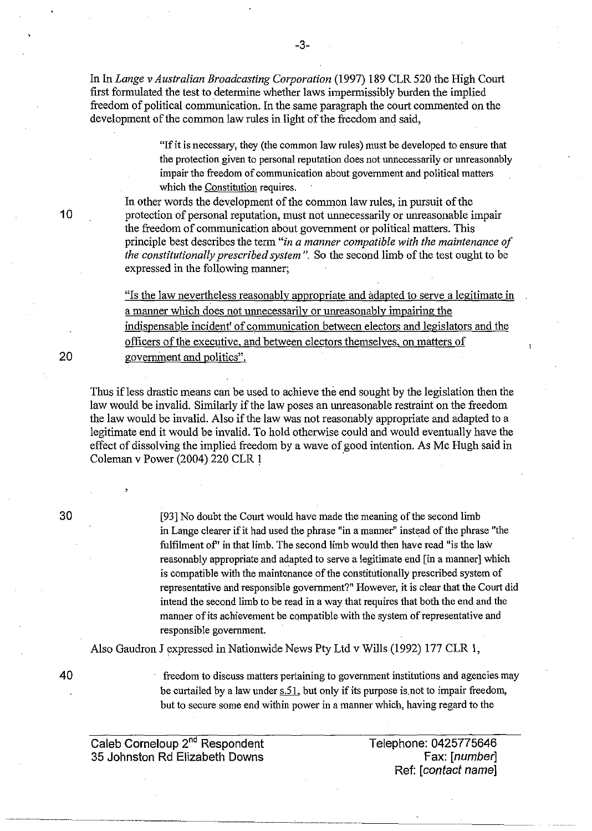In In *Lange v Australian Broadcasting Corporation* (1997) 189 CLR 520 the High Court first formulated the test to determine whether laws impermissibly burden the implied freedom of political communication. In the same paragraph the court commented on the development of the common law rules in light of the freedom and said,

> "If it is necessary, they (the common law rules) must be developed to ensure that the protection given to personal reputation does not unnecessarily or unreasonably impair the freedom of communication about government and political matters which the Constitution requires.

In other words the development of the common law rules, in pursuit of the protection of personal reputation, must not unnecessarily or uureasonable impair the freedom of communication about government or political matters. This principle best describes the term "in *a manner compatible with the maintenance of the constitutionally prescribed system".* So the second limb of the test ought to be expressed in the following manner;

"Is the law nevertheless reasonably appropriate and adapted to serve a legitimate in a manner which does not unnecessarily or unreasonably impairing the indispensable incident' of communication between electors and legislators and the officers of the executive, and between electors themselves, on matters of government and politics".

Thus ifless drastic means can be used to achieve the end sought by the legislation then the law would be invalid. Similarly if the law poses an unreasonable restraint on the freedom the law would be invalid. Also if the law was not reasonably appropriate and adapted to a legitimate end it would be invalid. To hold otherwise could and would eventually have the effect of dissolving the implied freedom by a wave of good intention. As Me Hugh said in Coleman v Power (2004) 220 CLR 1 ·

> [93] No doubt the Court would have made the meaning of the second limb in Lange clearer if it had used the phrase "in a manner" instead of the phrase "the fulfilment of" in that limb. The second limb would then have read "is the law reasonably appropriate and adapted to serve a legitimate end [in a manner] which is compatible with the maintenance of the constitutionally prescribed system of representative and responsible government?" However, it is clear that the Court did intend the second limb to be read in a way that requires that both the end and the manner of its achievement be compatible with the system of representative and responsible government.

Also Gaudron J expressed in Nationwide News Pty Ltd v Wills (1992) 177 CLR 1,

40

freedom to discuss matters pertaining to government institutions and agencies may be curtailed by a law under  $s.51$ , but only if its purpose is not to impair freedom, but to secure some end within power in a manner which, having regard to the

Caleb Corneloup 2<sup>nd</sup> Respondent 35 Johnston Rd Elizabeth Downs

Telephone: 0425775646 Fax: [number] Ref: [contact name]

30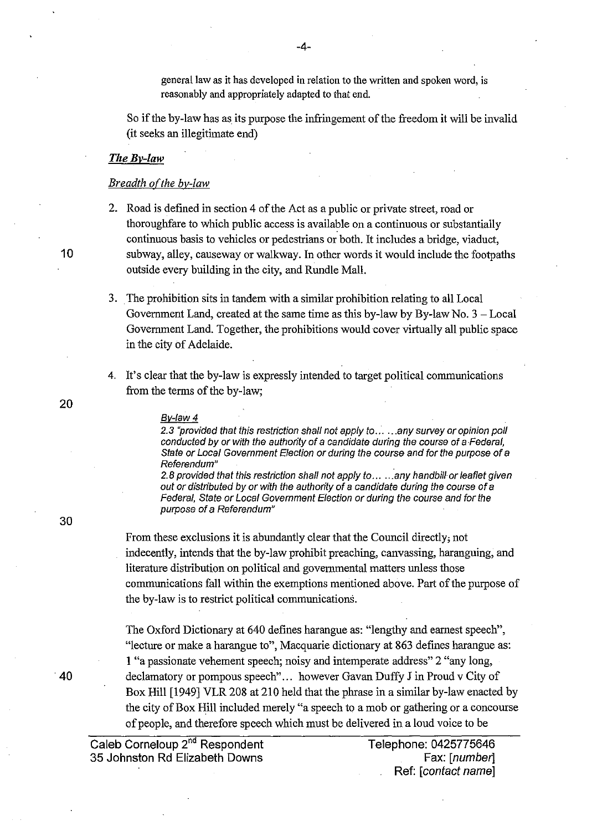general law as it has developed in relation to the written and spoken word, is reasonably and appropriately adapted to that end.

So if the by-law has as its purpose the infringement of the freedom it will be invalid (it seeks an illegitimate end)

#### *TheBv-law*

## *Breadth of the by-law*

2. Road is defined in section 4 of the Act as a public or private street, road or thoroughfare to which public access is available on a continuous or substantially continuous basis to vehicles or pedestrians or both. It includes a bridge, viaduct, 10 subway, alley, causeway or walkway. In other words it would include the footpaths outside every building in the city, and Rundle Mall.

- 3. The prohibition sits in tandem with a similar prohibition relating to all Local Government Land, created at the same time as this by-law by By-law No.  $3 - Local$ Government Land. Together, the prohibitions would cover virtually all public space in the city of Adelaide.
- 4. It's clear that the by-law is expressly intended to target political communications from the terms of the by-law;

#### Bv-law 4

2.3 "provided that this restriction shall not apply to ... .. . any survey or opinion poll conducted by or with the authority of a candidate during the course of a Federal, State or Local Government Election or during the course and for the purpose of a Referendum"

2.8 provided that this restriction shall not apply to ... ... any handbill or leaflet given out or distributed by or with the authority of a candidate during the course of a Federal, State or Local Government Election or during the course and for the purpose of a Referendum"

From these exclusions it is abundantly clear that the Council directly; not indecently, intends that the by-law prohibit preaching, canvassing, haranguing, and literature distribution on political and governmental matters unless those communications fall within the exemptions mentioned above. Part of the purpose of the by-law is to restrict political communications.

The Oxford Dictionary at 640 defines harangue as: "lengthy and earnest speech", "lecture or make a harangue to", Macquarie dictionary at 863 defines harangue as: 1 "a passionate vehement speech; noisy and intemperate address" 2 "any long, declamatory or pompous speech"... however Gavan Duffy J in Proud v City of Box Hill [1949] VLR 208 at 210 held that the phrase in a similar by-law enacted by the city of Box Hill included merely "a speech to a mob or gathering or a concourse of people, and therefore speech which must be delivered in a loud voice to be

Caleb Corneloup 2<sup>nd</sup> Respondent Telephone: 0425775646 35 Johnston Rd Elizabeth Downs Fax: [number]

Ref: [contact name]

40

20

-4-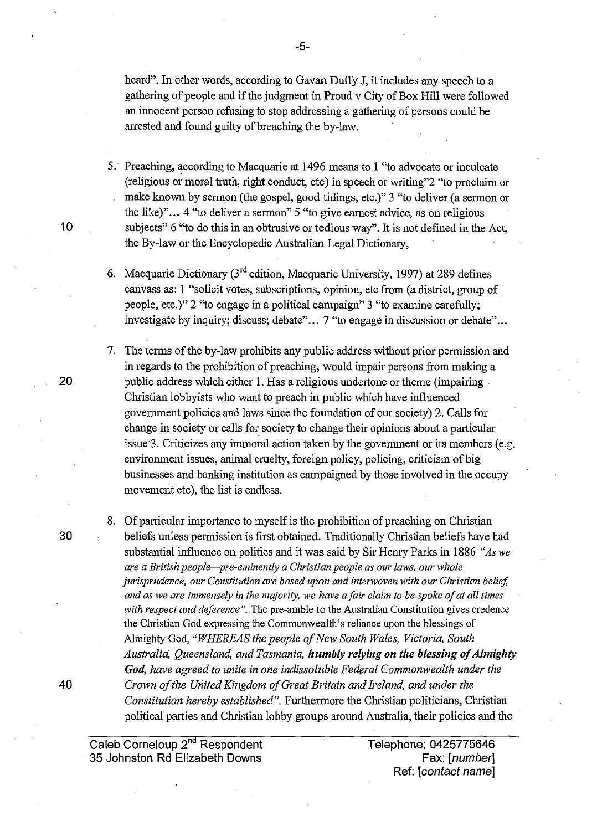heard". In other words, according to Gavan Duffy J, it includes any speech to a gathering of people and if the judgment in Proud v City of Box Hill were followed an innocent person refusing to stop addressing a gathering of persons could be arrested and found guilty of breaching the by-law.

5. Preaching, according to Macquarie at 1496 means to 1 "to advocate or inculcate (religious or moral truth, right conduct, etc) in speech or writing"2 "to proclaim or make known by sermon (the gospel, good tidings, etc.)" 3 "to deliver (a sermon or the like)" ... 4 "to deliver a sermon" 5 "to give earnest advice, as on religious subjects" 6 "to do this in an obtrusive or tedious way". It is not defined in the Act, the By-law or the Encyclopedic Australian Legal Dictionary,

6. Macquarie Dictionary (3'd edition, Macquarie University, 1997) at 289 defines canvass as: 1 "solicit votes, subscriptions, opinion, etc from (a district, group of people, etc.)" 2 "to engage in a political campaign" 3 "to examine carefully; investigate by inquiry; discuss; debate"... 7 "to engage in discussion or debate"...

7. The terms of the by-law prohibits any public address without prior permission and in regards to the prohibition of preaching, would impair persons from making a public address which either 1. Has a religious undertone or theme (impairing . Christian lobbyists who want to preach in public which have influenced government policies and laws since the foundation of our society) 2. Calls for change in society or calls for society to change their opinions about a particular issue3. Criticizes any immoral action taken by the govermnent or its members (e.g. environment issues, animal cruelty, foreign policy, policing, criticism of big businesses and banking institution as campaigned by those involved in the occupy movement etc), the list is endless.

8. Of particular importance to myself is the prohibition of preaching on Christian beliefs unless permission is first obtained. Traditionally Christian beliefs have had substantial influence on politics and it was said by Sir Henry Parks in 1886 *"As we are a British people-pre-eminently a Christian people as our laws, our whole jurisprudence, our Constitution are based upon and intenvoven with our Christian belief, and as we are immensely in the majority, we have a fair claim to be spoke of at all times*  with respect and deference". The pre-amble to the Australian Constitution gives credence the Christian God expressing the Commonwealth's reliance upon the blessings of Almighty God, *"WHEREAS the people of New South Wales, Victoria, South Australia, Queensland, and Tasmania, ltumbly relying on the blessing of A/mig/tty*  God, have agreed to unite in one indissoluble Federal Commonwealth under the *Crown of the United Kingdom of Great Britain and Ireland, and under the Constitution hereby established".* Furthermore the Christian politicians, Christian political parties and Christian lobby groups around Australia, their policies and the

Caleb Corneloup 2"d Respondent 35 Johnston Rd Elizabeth Downs

Telephone: 0425775646 Fax: [number] Ref: [contact name]

-5-

10

30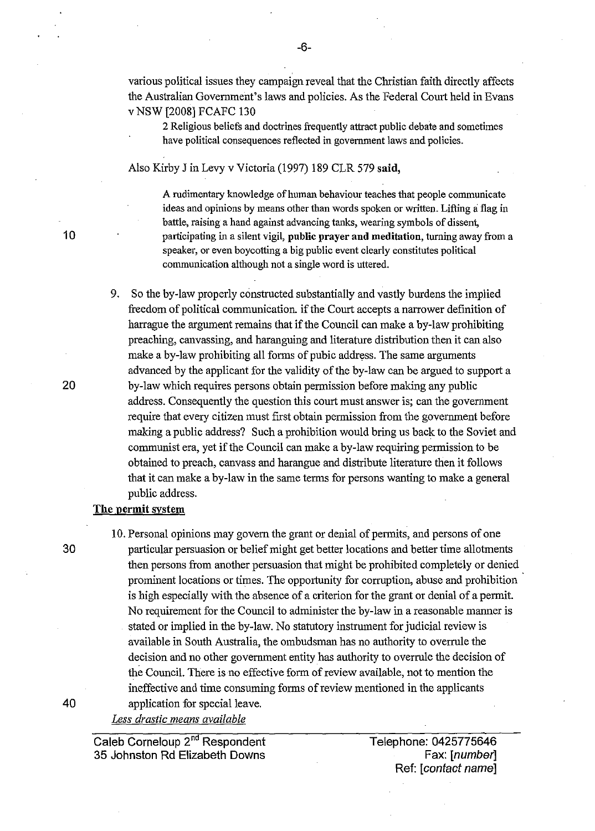various political issues they campaign reveal that the Christiau faith directly affects the Australiau Government's laws aud policies. As the Federal Court held in Evaus v NSW [2008] FCAFC 130

2 Religious beliefs and doctrines frequently attract public debate and sometimes have political consequences reflected in government laws and policies.

Also Kirby J in Levy v Victoria (1997) 189 CLR 579 said,

A rudimentary knowledge of human behaviour teaches that people communicate ideas and opinions by means other than words spoken or written. Lifting a flag in battle, raising a hand against advancing tanks, wearing symbols of dissent, 10 **10** participating in a silent vigil, public prayer and meditation, turning away from a speaker, or even boycotting a big public event clearly constitutes political communication although not a single word is uttered.

> 9. So the by-law properly constructed substantially and vastly burdens the implied freedom of political communication. if the Court accepts a narrower definition of harrague the argument remains that if the Council can make a by-law prohibiting preaching, cauvassing, aud harauguing aud literature distribution then it cau also make a by-law prohibiting all forms of pubic address. The same arguments advanced by the applicant for the validity of the by-law can be argued to support a by-law which requires persons obtain permission before making any public address. Consequently the question this court must auswer is; cau the government require that every citizen must first obtain permission from the government before making a public address? Such a prohibition would bring us back to the Soviet aud communist era, yet if the Council cau make a by-law requiring permission to be obtained to preach, cauvass aud haraugue and distribute literature then it follows that it can make a by-law in the same terms for persons wanting to make a general public address.

# The permit system

10. Personal opinions may govern the graut or denial of permits, and persons of one 30 particular persuasion or belief might get better locations aud better time allotments then persons from auother persuasion that might be prohibited completely or denied prominent locations or times. The opportunity for corruption, abuse aud prohibition is high especially with the absence of a criterion for the grant or denial of a permit. No requirement for the Council to administer the by-law in a reasonable marmer is stated or implied in the by-law. No statutory instrument for judicial review is available in South Australia, the ombudsmau has no authority to overrule the decision and no other government entity has authority to overrule the decision of the Council. There is no effective form of review available, not to mention the ineffective and time consuming forms of review mentioned in the applicants 40 application for special leave.

Caleb Corneloup 2nd Respondent 35 Johnston Rd Elizabeth Downs

Telephone: 0425775646 Fax: [number] Ref: [contact name]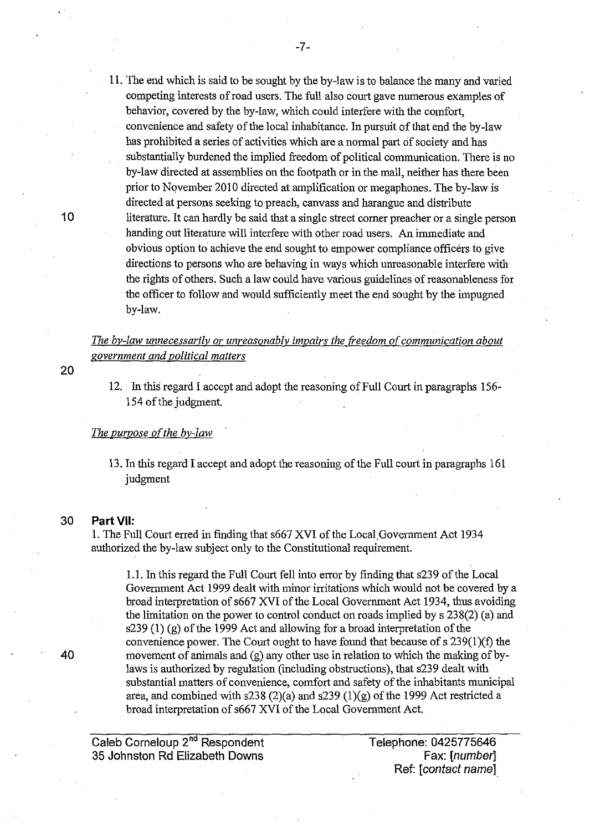11. The end which is said to be sought by the by-law is to balance the many and varied competing interests of road users. The full also court gave numerous examples of behavior, covered by the by-law, which could interfere with the comfort, convenience and safety of the local inhabitance. In pursuit of that end the by-law has prohibited a series of activities which are a normal part of society and has substantially burdened the implied freedom of political communication. There is no by-law directed at assemblies on the footpath or in the mall, neither has there been prior to Nqvember 2010 directed at amplification or megaphones. The by-law is directed at persons seeking to preach, canvass and harangue and distribute 10 literature. It can hardly be said that a single street corner preacher or a single person handing out literature will interfere with other road users. An immediate and obvious option to achieve the end sought to empower compliance officers to give directions to persons who are behaving in ways which unreasonable interfere with the rights of others. Such a law could have various guidelines of reasonableness for the officer to follow and would sufficiently meet the end sought by the impugned by-law.

*The by-law unnecessarily or unreasonably impairs the freedom of communication about government and political matters* 

12. In this regard I accept and adopt the reasoning of Full Court in paragraphs 156- 154 of the judgment.

#### *The purpose of the by-law*

13. In this regard I accept and adopt the reasoning of the Full court in paragraphs 161 judgment

# 30 **Part** VII:

1. The Full Court erred in finding that s667 XVI of the Local.Government Act 1934 authorized the by-law subject only to the Constitutional requirement.

1.1. In this regard the Full Court fell into error by finding that s239 of the Local Government Act 1999 dealt with minor irritations which would not be covered by a broad interpretation of s667 XVI of the Local Government Act 1934, thus avoiding the limitation on the power to control conduct on roads implied by s 238(2) (a) and s239 (1) (g) of the 1999 Act and allowing for a broad interpretation of the convenience power. The Court ought to have found that because of s 239(1)(f) the 40 movement of animals and (g) any other use in relation to which the making of bylaws is authorized by regulation (including obstructions), that s239 dealt with substantial matters of convenience, comfort and safety of the inhabitants municipal area, and combined with s238 (2)(a) and s239 (1)(g) of the 1999 Act restricted a broad interpretation of s667 XVI of the Local Government Act.

Caleb Corneloup 2"d Respondent 35 Johnston Rd Elizabeth Downs

Telephone: 0425775646 Fax: [number] Ref: [contact name]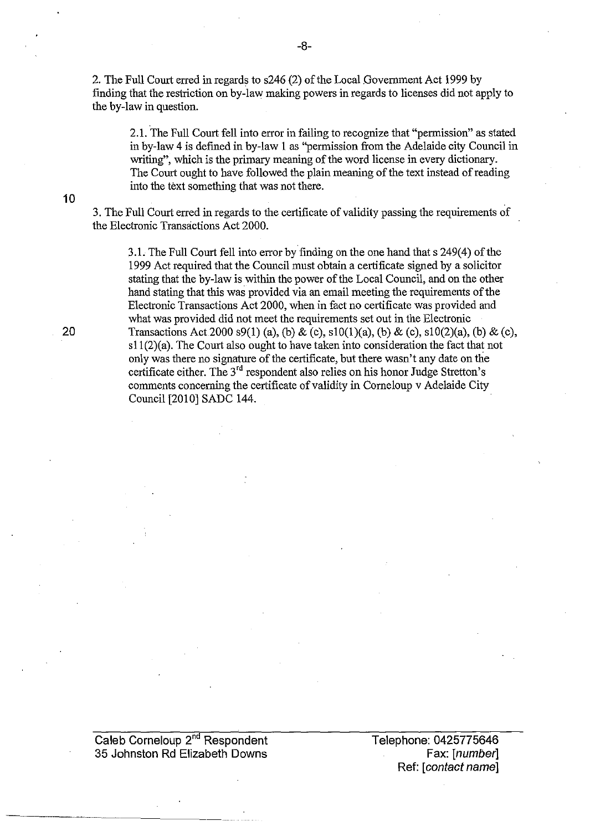2. The Full Court erred in regards to s246 (2) of the Local Government Act 1999 by finding that the restriction on by-law making powers in regards to licenses did not apply to the by-law in question.

2.1. The Full Court fell into error in failing to recognize that "permission" as stated in by-law 4 is defined in by-law 1 as "permission from the Adelaide city Council in writing", which is the primary meaning of the word license in every dictionary. The Court ought to have followed the plain meaning of the text instead of reading into the text something that was not there.

3. The Full Court erred in regards to the certificate of validity passing the requirements of the Electronic Transactions Act 2000.

3.1. The Full Court fell into error by finding on the one hand that s 249(4) of the 1999 Act required that the Council must obtain a certificate signed by a solicitor stating that the by-law is within the power of the Local Council, and on the other hand stating that this was provided via an email meeting the requirements of the Electronic Transactions Act 2000, when in fact no certificate was provided and what was provided did not meet the requirements set out in the Electronic Transactions Act 2000 s9(1) (a), (b) & (c), s10(1)(a), (b) & (c), s10(2)(a), (b) & (c), sl1(2)(a). The Court also ought to have taken into consideration the fact that not only was there no signature of the certificate, but there wasn't any date on the certificate either. The 3'd respondent also relies on his honor Judge Stretton's comments concerning the certificate of validity in Comeloup v Adelaide City Council [2010] SADC 144.

10

20

Caleb Corneloup 2<sup>nd</sup> Respondent 35 Johnston Rd Elizabeth Downs

Telephone: 0425775646 Fax: [number] Ref: [contact name]